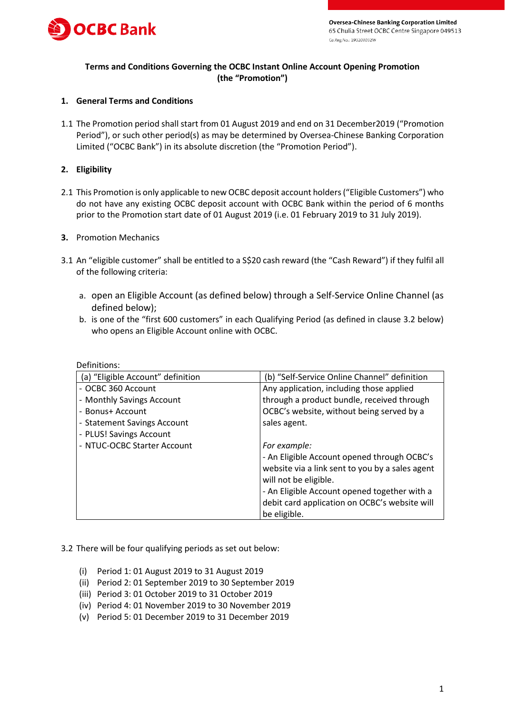

# **Terms and Conditions Governing the OCBC Instant Online Account Opening Promotion (the "Promotion")**

### **1. General Terms and Conditions**

1.1 The Promotion period shall start from 01 August 2019 and end on 31 December2019 ("Promotion Period"), or such other period(s) as may be determined by Oversea-Chinese Banking Corporation Limited ("OCBC Bank") in its absolute discretion (the "Promotion Period").

### **2. Eligibility**

2.1 This Promotion is only applicable to new OCBC deposit account holders ("Eligible Customers") who do not have any existing OCBC deposit account with OCBC Bank within the period of 6 months prior to the Promotion start date of 01 August 2019 (i.e. 01 February 2019 to 31 July 2019).

### **3.** Promotion Mechanics

- 3.1 An "eligible customer" shall be entitled to a S\$20 cash reward (the "Cash Reward") if they fulfil all of the following criteria:
	- a. open an Eligible Account (as defined below) through a Self-Service Online Channel (as defined below);
	- b. is one of the "first 600 customers" in each Qualifying Period (as defined in clause 3.2 below) who opens an Eligible Account online with OCBC.

| (a) "Eligible Account" definition | (b) "Self-Service Online Channel" definition    |
|-----------------------------------|-------------------------------------------------|
| - OCBC 360 Account                | Any application, including those applied        |
| - Monthly Savings Account         | through a product bundle, received through      |
| - Bonus+ Account                  | OCBC's website, without being served by a       |
| - Statement Savings Account       | sales agent.                                    |
| - PLUS! Savings Account           |                                                 |
| - NTUC-OCBC Starter Account       | For example:                                    |
|                                   | - An Eligible Account opened through OCBC's     |
|                                   | website via a link sent to you by a sales agent |
|                                   | will not be eligible.                           |
|                                   | - An Eligible Account opened together with a    |
|                                   | debit card application on OCBC's website will   |
|                                   | be eligible.                                    |

## Definitions:

#### 3.2 There will be four qualifying periods as set out below:

- (i) Period 1: 01 August 2019 to 31 August 2019
- (ii) Period 2: 01 September 2019 to 30 September 2019
- (iii) Period 3: 01 October 2019 to 31 October 2019
- (iv) Period 4: 01 November 2019 to 30 November 2019
- (v) Period 5: 01 December 2019 to 31 December 2019